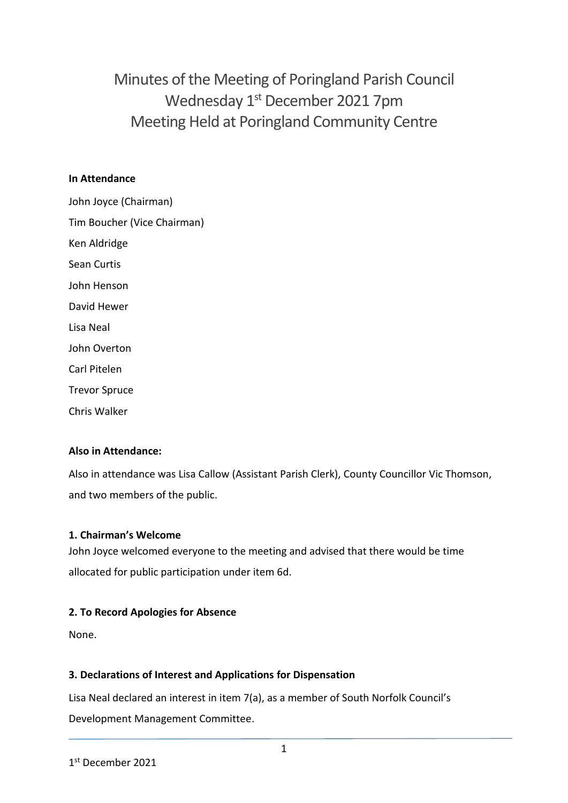Minutes of the Meeting of Poringland Parish Council Wednesday 1<sup>st</sup> December 2021 7pm Meeting Held at Poringland Community Centre

### **In Attendance**

John Joyce (Chairman) Tim Boucher (Vice Chairman) Ken Aldridge Sean Curtis John Henson David Hewer Lisa Neal John Overton Carl Pitelen Trevor Spruce Chris Walker

### **Also in Attendance:**

Also in attendance was Lisa Callow (Assistant Parish Clerk), County Councillor Vic Thomson, and two members of the public.

### **1. Chairman's Welcome**

John Joyce welcomed everyone to the meeting and advised that there would be time allocated for public participation under item 6d.

### **2. To Record Apologies for Absence**

None.

### **3. Declarations of Interest and Applications for Dispensation**

Lisa Neal declared an interest in item 7(a), as a member of South Norfolk Council's Development Management Committee.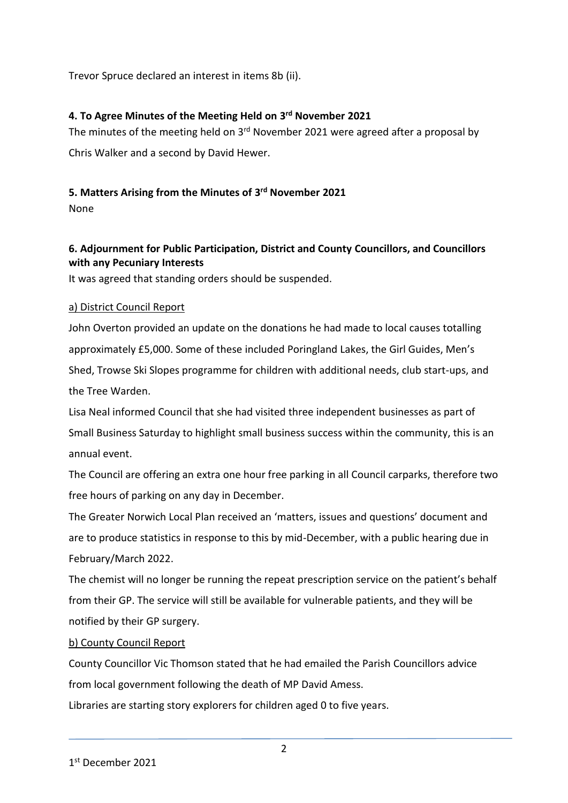Trevor Spruce declared an interest in items 8b (ii).

# **4. To Agree Minutes of the Meeting Held on 3 rd November 2021**

The minutes of the meeting held on 3<sup>rd</sup> November 2021 were agreed after a proposal by Chris Walker and a second by David Hewer.

# **5. Matters Arising from the Minutes of 3 rd November 2021**

None

# **6. Adjournment for Public Participation, District and County Councillors, and Councillors with any Pecuniary Interests**

It was agreed that standing orders should be suspended.

### a) District Council Report

John Overton provided an update on the donations he had made to local causes totalling approximately £5,000. Some of these included Poringland Lakes, the Girl Guides, Men's Shed, Trowse Ski Slopes programme for children with additional needs, club start-ups, and the Tree Warden.

Lisa Neal informed Council that she had visited three independent businesses as part of Small Business Saturday to highlight small business success within the community, this is an annual event.

The Council are offering an extra one hour free parking in all Council carparks, therefore two free hours of parking on any day in December.

The Greater Norwich Local Plan received an 'matters, issues and questions' document and are to produce statistics in response to this by mid-December, with a public hearing due in February/March 2022.

The chemist will no longer be running the repeat prescription service on the patient's behalf from their GP. The service will still be available for vulnerable patients, and they will be notified by their GP surgery.

# b) County Council Report

County Councillor Vic Thomson stated that he had emailed the Parish Councillors advice from local government following the death of MP David Amess.

Libraries are starting story explorers for children aged 0 to five years.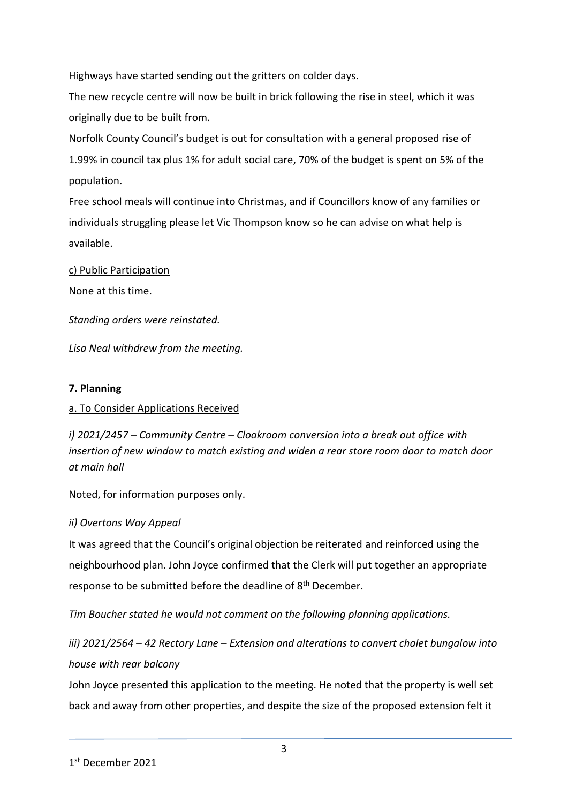Highways have started sending out the gritters on colder days.

The new recycle centre will now be built in brick following the rise in steel, which it was originally due to be built from.

Norfolk County Council's budget is out for consultation with a general proposed rise of 1.99% in council tax plus 1% for adult social care, 70% of the budget is spent on 5% of the population.

Free school meals will continue into Christmas, and if Councillors know of any families or individuals struggling please let Vic Thompson know so he can advise on what help is available.

### c) Public Participation

None at this time.

*Standing orders were reinstated.* 

*Lisa Neal withdrew from the meeting.* 

#### **7. Planning**

### a. To Consider Applications Received

*i) 2021/2457 – Community Centre – Cloakroom conversion into a break out office with insertion of new window to match existing and widen a rear store room door to match door at main hall*

Noted, for information purposes only.

### *ii) Overtons Way Appeal*

It was agreed that the Council's original objection be reiterated and reinforced using the neighbourhood plan. John Joyce confirmed that the Clerk will put together an appropriate response to be submitted before the deadline of 8<sup>th</sup> December.

*Tim Boucher stated he would not comment on the following planning applications.*

*iii) 2021/2564 – 42 Rectory Lane – Extension and alterations to convert chalet bungalow into house with rear balcony*

John Joyce presented this application to the meeting. He noted that the property is well set back and away from other properties, and despite the size of the proposed extension felt it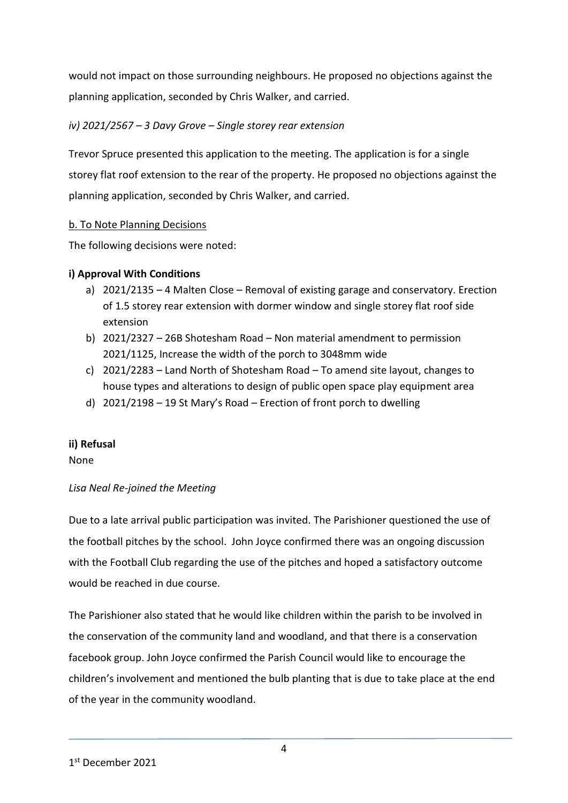would not impact on those surrounding neighbours. He proposed no objections against the planning application, seconded by Chris Walker, and carried.

# *iv) 2021/2567 – 3 Davy Grove – Single storey rear extension*

Trevor Spruce presented this application to the meeting. The application is for a single storey flat roof extension to the rear of the property. He proposed no objections against the planning application, seconded by Chris Walker, and carried.

# b. To Note Planning Decisions

The following decisions were noted:

# **i) Approval With Conditions**

- a) 2021/2135 4 Malten Close Removal of existing garage and conservatory. Erection of 1.5 storey rear extension with dormer window and single storey flat roof side extension
- b) 2021/2327 26B Shotesham Road Non material amendment to permission 2021/1125, Increase the width of the porch to 3048mm wide
- c) 2021/2283 Land North of Shotesham Road To amend site layout, changes to house types and alterations to design of public open space play equipment area
- d) 2021/2198 19 St Mary's Road Erection of front porch to dwelling

# **ii) Refusal**

None

# *Lisa Neal Re-joined the Meeting*

Due to a late arrival public participation was invited. The Parishioner questioned the use of the football pitches by the school. John Joyce confirmed there was an ongoing discussion with the Football Club regarding the use of the pitches and hoped a satisfactory outcome would be reached in due course.

The Parishioner also stated that he would like children within the parish to be involved in the conservation of the community land and woodland, and that there is a conservation facebook group. John Joyce confirmed the Parish Council would like to encourage the children's involvement and mentioned the bulb planting that is due to take place at the end of the year in the community woodland.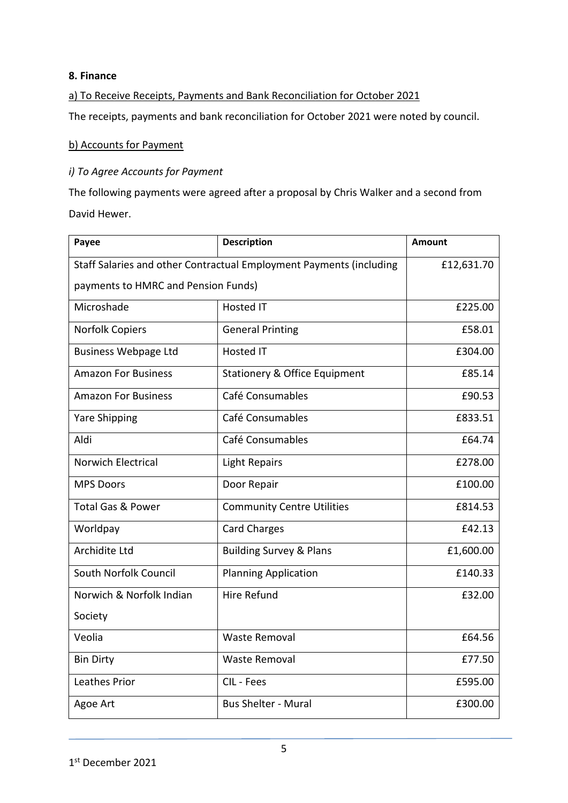### **8. Finance**

### a) To Receive Receipts, Payments and Bank Reconciliation for October 2021

The receipts, payments and bank reconciliation for October 2021 were noted by council.

#### b) Accounts for Payment

#### *i) To Agree Accounts for Payment*

The following payments were agreed after a proposal by Chris Walker and a second from David Hewer.

| Payee                                                               | <b>Description</b>                       | <b>Amount</b> |
|---------------------------------------------------------------------|------------------------------------------|---------------|
| Staff Salaries and other Contractual Employment Payments (including |                                          | £12,631.70    |
| payments to HMRC and Pension Funds)                                 |                                          |               |
| Microshade                                                          | <b>Hosted IT</b>                         | £225.00       |
| <b>Norfolk Copiers</b>                                              | <b>General Printing</b>                  | £58.01        |
| <b>Business Webpage Ltd</b>                                         | <b>Hosted IT</b>                         | £304.00       |
| <b>Amazon For Business</b>                                          | <b>Stationery &amp; Office Equipment</b> | £85.14        |
| <b>Amazon For Business</b>                                          | Café Consumables                         | £90.53        |
| <b>Yare Shipping</b>                                                | Café Consumables                         | £833.51       |
| Aldi                                                                | Café Consumables                         | £64.74        |
| <b>Norwich Electrical</b>                                           | <b>Light Repairs</b>                     | £278.00       |
| <b>MPS Doors</b>                                                    | Door Repair                              | £100.00       |
| <b>Total Gas &amp; Power</b>                                        | <b>Community Centre Utilities</b>        | £814.53       |
| Worldpay                                                            | <b>Card Charges</b>                      | £42.13        |
| <b>Archidite Ltd</b>                                                | <b>Building Survey &amp; Plans</b>       | £1,600.00     |
| South Norfolk Council                                               | <b>Planning Application</b>              | £140.33       |
| Norwich & Norfolk Indian                                            | Hire Refund                              | £32.00        |
| Society                                                             |                                          |               |
| Veolia                                                              | <b>Waste Removal</b>                     | £64.56        |
| <b>Bin Dirty</b>                                                    | <b>Waste Removal</b>                     | £77.50        |
| Leathes Prior                                                       | CIL - Fees                               | £595.00       |
| Agoe Art                                                            | <b>Bus Shelter - Mural</b>               | £300.00       |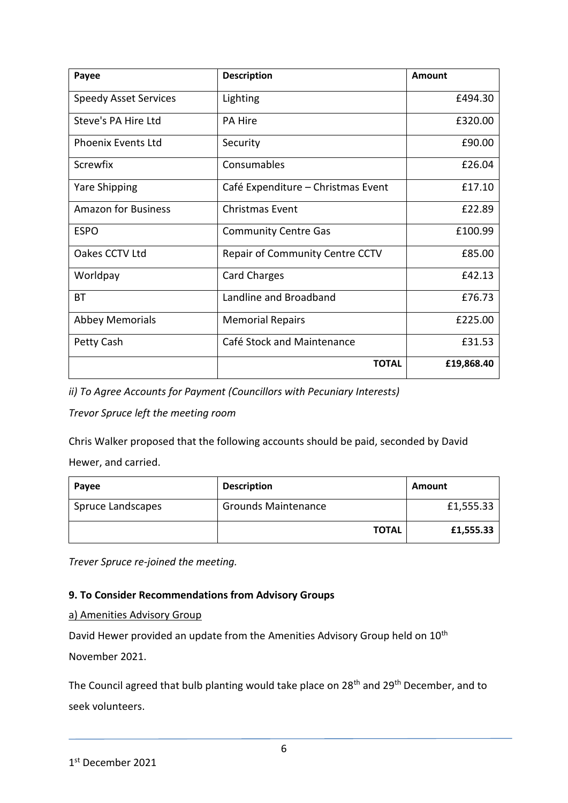| Payee                        | <b>Description</b>                     | Amount     |
|------------------------------|----------------------------------------|------------|
| <b>Speedy Asset Services</b> | Lighting                               | £494.30    |
| Steve's PA Hire Ltd          | <b>PA Hire</b>                         | £320.00    |
| <b>Phoenix Events Ltd</b>    | Security                               | £90.00     |
| <b>Screwfix</b>              | Consumables                            | £26.04     |
| <b>Yare Shipping</b>         | Café Expenditure - Christmas Event     | £17.10     |
| <b>Amazon for Business</b>   | <b>Christmas Event</b>                 | £22.89     |
| <b>ESPO</b>                  | <b>Community Centre Gas</b>            | £100.99    |
| Oakes CCTV Ltd               | <b>Repair of Community Centre CCTV</b> | £85.00     |
| Worldpay                     | <b>Card Charges</b>                    | £42.13     |
| <b>BT</b>                    | Landline and Broadband                 | £76.73     |
| <b>Abbey Memorials</b>       | <b>Memorial Repairs</b>                | £225.00    |
| Petty Cash                   | Café Stock and Maintenance             | £31.53     |
|                              | <b>TOTAL</b>                           | £19,868.40 |

*ii) To Agree Accounts for Payment (Councillors with Pecuniary Interests)*

*Trevor Spruce left the meeting room*

Chris Walker proposed that the following accounts should be paid, seconded by David Hewer, and carried.

| Payee             | <b>Description</b>         | Amount    |
|-------------------|----------------------------|-----------|
| Spruce Landscapes | <b>Grounds Maintenance</b> | £1,555.33 |
|                   | <b>TOTAL</b>               | £1,555.33 |

*Trever Spruce re-joined the meeting.*

### **9. To Consider Recommendations from Advisory Groups**

a) Amenities Advisory Group

David Hewer provided an update from the Amenities Advisory Group held on 10<sup>th</sup>

November 2021.

The Council agreed that bulb planting would take place on 28<sup>th</sup> and 29<sup>th</sup> December, and to seek volunteers.

<sup>1</sup> st December 2021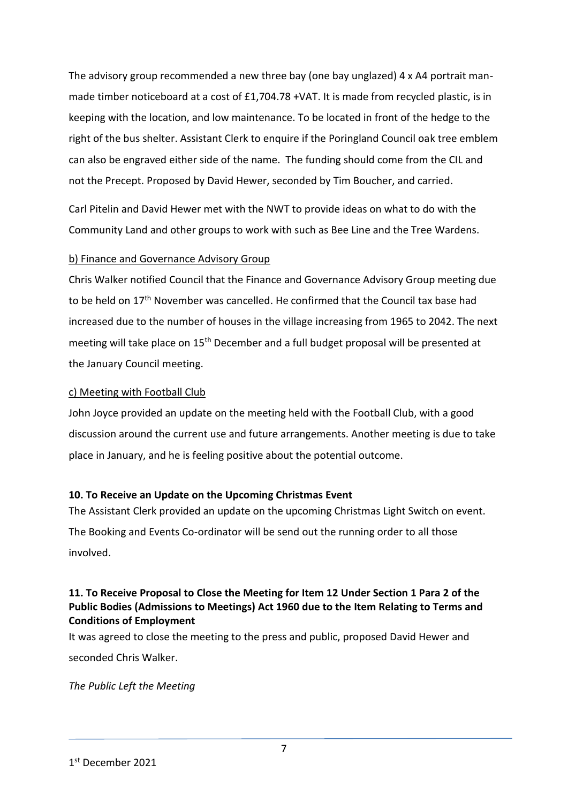The advisory group recommended a new three bay (one bay unglazed) 4 x A4 portrait manmade timber noticeboard at a cost of £1,704.78 +VAT. It is made from recycled plastic, is in keeping with the location, and low maintenance. To be located in front of the hedge to the right of the bus shelter. Assistant Clerk to enquire if the Poringland Council oak tree emblem can also be engraved either side of the name. The funding should come from the CIL and not the Precept. Proposed by David Hewer, seconded by Tim Boucher, and carried.

Carl Pitelin and David Hewer met with the NWT to provide ideas on what to do with the Community Land and other groups to work with such as Bee Line and the Tree Wardens.

### b) Finance and Governance Advisory Group

Chris Walker notified Council that the Finance and Governance Advisory Group meeting due to be held on 17<sup>th</sup> November was cancelled. He confirmed that the Council tax base had increased due to the number of houses in the village increasing from 1965 to 2042. The next meeting will take place on 15<sup>th</sup> December and a full budget proposal will be presented at the January Council meeting.

### c) Meeting with Football Club

John Joyce provided an update on the meeting held with the Football Club, with a good discussion around the current use and future arrangements. Another meeting is due to take place in January, and he is feeling positive about the potential outcome.

### **10. To Receive an Update on the Upcoming Christmas Event**

The Assistant Clerk provided an update on the upcoming Christmas Light Switch on event. The Booking and Events Co-ordinator will be send out the running order to all those involved.

### **11. To Receive Proposal to Close the Meeting for Item 12 Under Section 1 Para 2 of the Public Bodies (Admissions to Meetings) Act 1960 due to the Item Relating to Terms and Conditions of Employment**

It was agreed to close the meeting to the press and public, proposed David Hewer and seconded Chris Walker.

*The Public Left the Meeting*